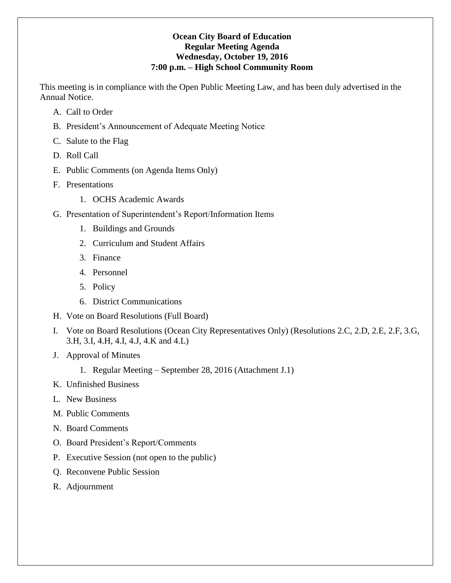### **Ocean City Board of Education Regular Meeting Agenda Wednesday, October 19, 2016 7:00 p.m. – High School Community Room**

This meeting is in compliance with the Open Public Meeting Law, and has been duly advertised in the Annual Notice.

- A. Call to Order
- B. President's Announcement of Adequate Meeting Notice
- C. Salute to the Flag
- D. Roll Call
- E. Public Comments (on Agenda Items Only)
- F. Presentations
	- 1. OCHS Academic Awards
- G. Presentation of Superintendent's Report/Information Items
	- 1. Buildings and Grounds
	- 2. Curriculum and Student Affairs
	- 3. Finance
	- 4. Personnel
	- 5. Policy
	- 6. District Communications
- H. Vote on Board Resolutions (Full Board)
- I. Vote on Board Resolutions (Ocean City Representatives Only) (Resolutions 2.C, 2.D, 2.E, 2.F, 3.G, 3.H, 3.I, 4.H, 4.I, 4.J, 4.K and 4.L)
- J. Approval of Minutes
	- 1. Regular Meeting September 28, 2016 (Attachment J.1)
- K. Unfinished Business
- L. New Business
- M. Public Comments
- N. Board Comments
- O. Board President's Report/Comments
- P. Executive Session (not open to the public)
- Q. Reconvene Public Session
- R. Adjournment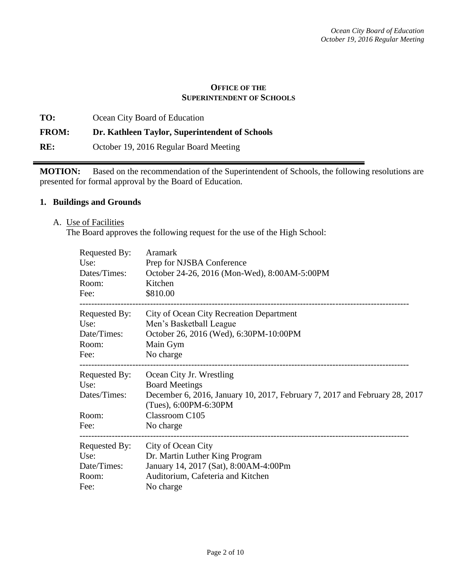### **OFFICE OF THE SUPERINTENDENT OF SCHOOLS**

**TO:** Ocean City Board of Education **FROM: Dr. Kathleen Taylor, Superintendent of Schools RE:** October 19, 2016 Regular Board Meeting

**MOTION:** Based on the recommendation of the Superintendent of Schools, the following resolutions are presented for formal approval by the Board of Education.

#### **1. Buildings and Grounds**

A. Use of Facilities

The Board approves the following request for the use of the High School:

| Requested By:<br>Use:<br>Dates/Times:<br>Room:<br>Fee: | Aramark<br>Prep for NJSBA Conference<br>October 24-26, 2016 (Mon-Wed), 8:00AM-5:00PM<br>Kitchen<br>\$810.00 |
|--------------------------------------------------------|-------------------------------------------------------------------------------------------------------------|
| Requested By:<br>Use:                                  | City of Ocean City Recreation Department<br>Men's Basketball League                                         |
| Date/Times:                                            | October 26, 2016 (Wed), 6:30PM-10:00PM                                                                      |
| Room:                                                  | Main Gym                                                                                                    |
| Fee:                                                   | No charge                                                                                                   |
| Requested By:                                          | Ocean City Jr. Wrestling                                                                                    |
| Use:                                                   | <b>Board Meetings</b>                                                                                       |
| Dates/Times:                                           | December 6, 2016, January 10, 2017, February 7, 2017 and February 28, 2017<br>(Tues), 6:00PM-6:30PM         |
| Room:                                                  | Classroom C105                                                                                              |
| Fee:                                                   | No charge                                                                                                   |
| Requested By:                                          | City of Ocean City                                                                                          |
| Use:                                                   | Dr. Martin Luther King Program                                                                              |
| Date/Times:                                            | January 14, 2017 (Sat), 8:00AM-4:00Pm                                                                       |
| Room:                                                  | Auditorium, Cafeteria and Kitchen                                                                           |
| Fee:                                                   | No charge                                                                                                   |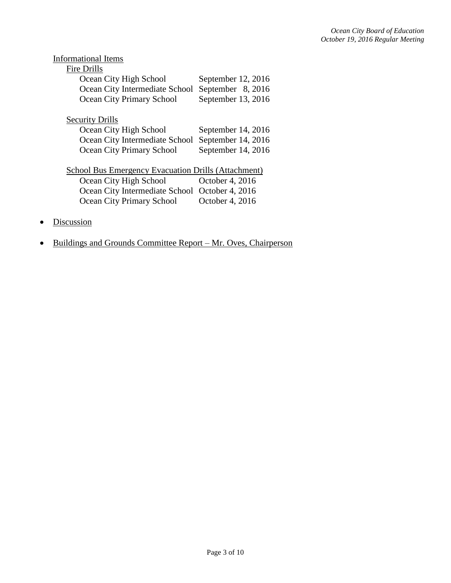| <b>Informational Items</b>                                 |                    |
|------------------------------------------------------------|--------------------|
| Fire Drills                                                |                    |
| Ocean City High School                                     | September 12, 2016 |
| Ocean City Intermediate School                             | September 8, 2016  |
| <b>Ocean City Primary School</b>                           | September 13, 2016 |
| <b>Security Drills</b>                                     |                    |
| Ocean City High School                                     | September 14, 2016 |
| Ocean City Intermediate School                             | September 14, 2016 |
| Ocean City Primary School                                  | September 14, 2016 |
| <b>School Bus Emergency Evacuation Drills (Attachment)</b> |                    |
| Ocean City High School                                     | October 4, 2016    |
| Ocean City Intermediate School October 4, 2016             |                    |
| Ocean City Primary School                                  | October 4, 2016    |
| iscussion                                                  |                    |

• Buildings and Grounds Committee Report – Mr. Oves, Chairperson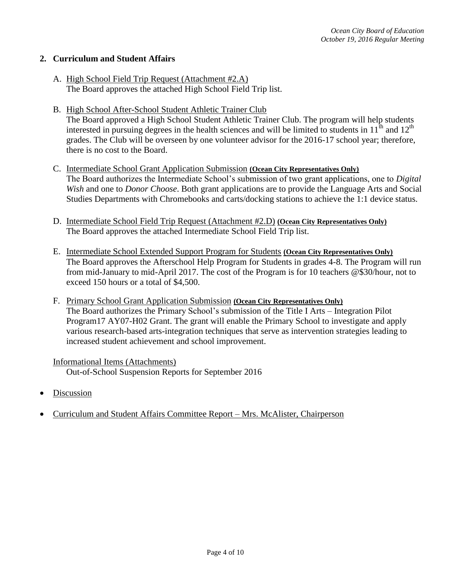### **2. Curriculum and Student Affairs**

- A. High School Field Trip Request (Attachment #2.A) The Board approves the attached High School Field Trip list.
- B. High School After-School Student Athletic Trainer Club The Board approved a High School Student Athletic Trainer Club. The program will help students interested in pursuing degrees in the health sciences and will be limited to students in  $11<sup>th</sup>$  and  $12<sup>th</sup>$ grades. The Club will be overseen by one volunteer advisor for the 2016-17 school year; therefore, there is no cost to the Board.
- C. Intermediate School Grant Application Submission **(Ocean City Representatives Only)** The Board authorizes the Intermediate School's submission of two grant applications, one to *Digital Wish* and one to *Donor Choose*. Both grant applications are to provide the Language Arts and Social Studies Departments with Chromebooks and carts/docking stations to achieve the 1:1 device status.
- D. Intermediate School Field Trip Request (Attachment #2.D) **(Ocean City Representatives Only)** The Board approves the attached Intermediate School Field Trip list.
- E. Intermediate School Extended Support Program for Students **(Ocean City Representatives Only)** The Board approves the Afterschool Help Program for Students in grades 4-8. The Program will run from mid-January to mid-April 2017. The cost of the Program is for 10 teachers @\$30/hour, not to exceed 150 hours or a total of \$4,500.
- F. Primary School Grant Application Submission **(Ocean City Representatives Only)** The Board authorizes the Primary School's submission of the Title I Arts – Integration Pilot Program17 AY07-H02 Grant. The grant will enable the Primary School to investigate and apply various research-based arts-integration techniques that serve as intervention strategies leading to increased student achievement and school improvement.

### Informational Items (Attachments) Out-of-School Suspension Reports for September 2016

- Discussion
- Curriculum and Student Affairs Committee Report Mrs. McAlister, Chairperson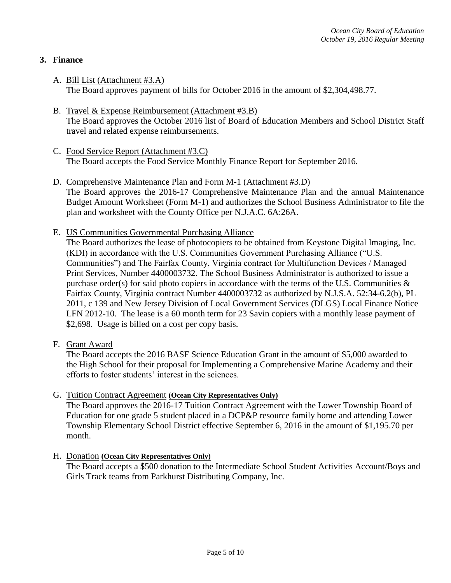## **3. Finance**

- A. Bill List (Attachment #3.A) The Board approves payment of bills for October 2016 in the amount of \$2,304,498.77.
- B. Travel & Expense Reimbursement (Attachment #3.B) The Board approves the October 2016 list of Board of Education Members and School District Staff travel and related expense reimbursements.
- C. Food Service Report (Attachment #3.C) The Board accepts the Food Service Monthly Finance Report for September 2016.
- D. Comprehensive Maintenance Plan and Form M-1 (Attachment #3.D) The Board approves the 2016-17 Comprehensive Maintenance Plan and the annual Maintenance Budget Amount Worksheet (Form M-1) and authorizes the School Business Administrator to file the plan and worksheet with the County Office per N.J.A.C. 6A:26A.
- E. US Communities Governmental Purchasing Alliance

The Board authorizes the lease of photocopiers to be obtained from Keystone Digital Imaging, Inc. (KDI) in accordance with the U.S. Communities Government Purchasing Alliance ("U.S. Communities") and The Fairfax County, Virginia contract for Multifunction Devices / Managed Print Services, Number 4400003732. The School Business Administrator is authorized to issue a purchase order(s) for said photo copiers in accordance with the terms of the U.S. Communities  $\&$ Fairfax County, Virginia contract Number 4400003732 as authorized by N.J.S.A. 52:34-6.2(b), PL 2011, c 139 and New Jersey Division of Local Government Services (DLGS) Local Finance Notice LFN 2012-10. The lease is a 60 month term for 23 Savin copiers with a monthly lease payment of \$2,698. Usage is billed on a cost per copy basis.

F. Grant Award

The Board accepts the 2016 BASF Science Education Grant in the amount of \$5,000 awarded to the High School for their proposal for Implementing a Comprehensive Marine Academy and their efforts to foster students' interest in the sciences.

### G. Tuition Contract Agreement **(Ocean City Representatives Only)**

The Board approves the 2016-17 Tuition Contract Agreement with the Lower Township Board of Education for one grade 5 student placed in a DCP&P resource family home and attending Lower Township Elementary School District effective September 6, 2016 in the amount of \$1,195.70 per month.

H. Donation **(Ocean City Representatives Only)**

The Board accepts a \$500 donation to the Intermediate School Student Activities Account/Boys and Girls Track teams from Parkhurst Distributing Company, Inc.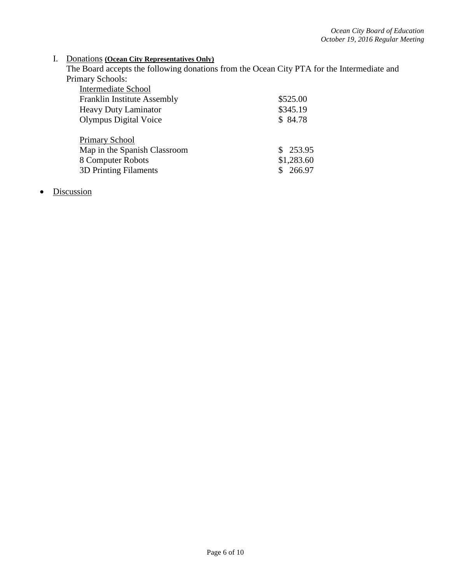## I. Donations **(Ocean City Representatives Only)**

The Board accepts the following donations from the Ocean City PTA for the Intermediate and Primary Schools:

| <b>Intermediate School</b>   |            |
|------------------------------|------------|
| Franklin Institute Assembly  | \$525.00   |
| <b>Heavy Duty Laminator</b>  | \$345.19   |
| Olympus Digital Voice        | \$84.78    |
|                              |            |
| Primary School               |            |
| Map in the Spanish Classroom | \$253.95   |
| 8 Computer Robots            | \$1,283.60 |
| <b>3D Printing Filaments</b> | \$266.97   |

# • Discussion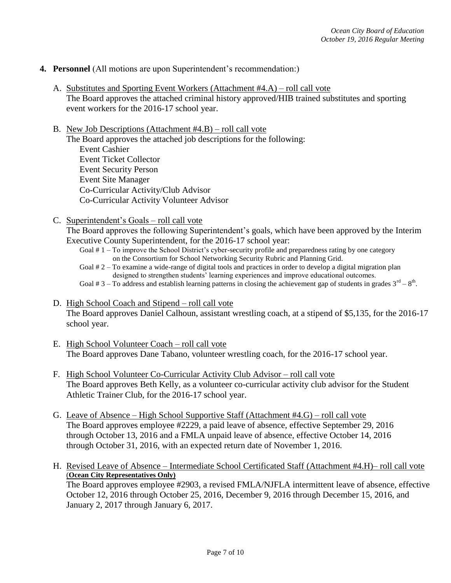- **4. Personnel** (All motions are upon Superintendent's recommendation:)
	- A. Substitutes and Sporting Event Workers (Attachment #4.A) roll call vote The Board approves the attached criminal history approved/HIB trained substitutes and sporting event workers for the 2016-17 school year.
	- B. New Job Descriptions (Attachment #4.B) roll call vote The Board approves the attached job descriptions for the following: Event Cashier Event Ticket Collector Event Security Person Event Site Manager Co-Curricular Activity/Club Advisor Co-Curricular Activity Volunteer Advisor
	- C. Superintendent's Goals roll call vote

The Board approves the following Superintendent's goals, which have been approved by the Interim Executive County Superintendent, for the 2016-17 school year:

- Goal # 1 To improve the School District's cyber-security profile and preparedness rating by one category on the Consortium for School Networking Security Rubric and Planning Grid.
- Goal # 2 To examine a wide-range of digital tools and practices in order to develop a digital migration plan designed to strengthen students' learning experiences and improve educational outcomes. Goal # 3 – To address and establish learning patterns in closing the achievement gap of students in grades  $3^{rd} - 8^{th}$ .
- D. High School Coach and Stipend roll call vote The Board approves Daniel Calhoun, assistant wrestling coach, at a stipend of \$5,135, for the 2016-17 school year.
- E. High School Volunteer Coach roll call vote The Board approves Dane Tabano, volunteer wrestling coach, for the 2016-17 school year.
- F. High School Volunteer Co-Curricular Activity Club Advisor roll call vote The Board approves Beth Kelly, as a volunteer co-curricular activity club advisor for the Student Athletic Trainer Club, for the 2016-17 school year.
- G. Leave of Absence High School Supportive Staff (Attachment #4.G) roll call vote The Board approves employee #2229, a paid leave of absence, effective September 29, 2016 through October 13, 2016 and a FMLA unpaid leave of absence, effective October 14, 2016 through October 31, 2016, with an expected return date of November 1, 2016.
- H. Revised Leave of Absence Intermediate School Certificated Staff (Attachment #4.H)– roll call vote (**Ocean City Representatives Only)** The Board approves employee #2903, a revised FMLA/NJFLA intermittent leave of absence, effective October 12, 2016 through October 25, 2016, December 9, 2016 through December 15, 2016, and January 2, 2017 through January 6, 2017.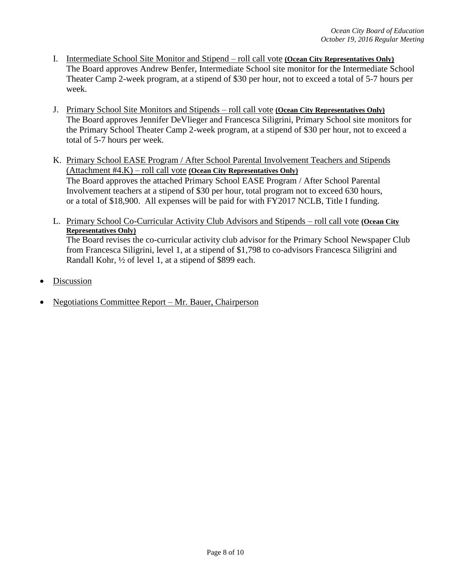- I. Intermediate School Site Monitor and Stipend roll call vote **(Ocean City Representatives Only)** The Board approves Andrew Benfer, Intermediate School site monitor for the Intermediate School Theater Camp 2-week program, at a stipend of \$30 per hour, not to exceed a total of 5-7 hours per week.
- J. Primary School Site Monitors and Stipends roll call vote **(Ocean City Representatives Only)** The Board approves Jennifer DeVlieger and Francesca Siligrini, Primary School site monitors for the Primary School Theater Camp 2-week program, at a stipend of \$30 per hour, not to exceed a total of 5-7 hours per week.
- K. Primary School EASE Program / After School Parental Involvement Teachers and Stipends (Attachment #4.K) – roll call vote **(Ocean City Representatives Only)** The Board approves the attached Primary School EASE Program / After School Parental Involvement teachers at a stipend of \$30 per hour, total program not to exceed 630 hours, or a total of \$18,900. All expenses will be paid for with FY2017 NCLB, Title I funding.
- L. Primary School Co-Curricular Activity Club Advisors and Stipends roll call vote **(Ocean City Representatives Only)** The Board revises the co-curricular activity club advisor for the Primary School Newspaper Club from Francesca Siligrini, level 1, at a stipend of \$1,798 to co-advisors Francesca Siligrini and Randall Kohr, ½ of level 1, at a stipend of \$899 each.
- Discussion
- Negotiations Committee Report Mr. Bauer, Chairperson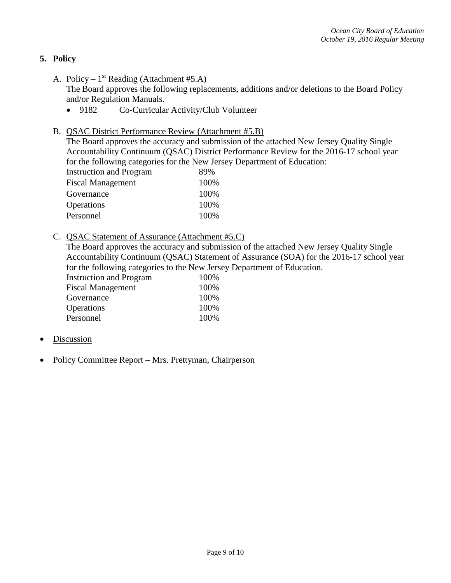## **5. Policy**

A. Policy –  $1^{st}$  Reading (Attachment #5.A)

The Board approves the following replacements, additions and/or deletions to the Board Policy and/or Regulation Manuals.

- 9182 Co-Curricular Activity/Club Volunteer
- B. QSAC District Performance Review (Attachment #5.B)

The Board approves the accuracy and submission of the attached New Jersey Quality Single Accountability Continuum (QSAC) District Performance Review for the 2016-17 school year for the following categories for the New Jersey Department of Education:

| 89%  |
|------|
| 100% |
| 100% |
| 100% |
| 100% |
|      |

C. QSAC Statement of Assurance (Attachment #5.C)

The Board approves the accuracy and submission of the attached New Jersey Quality Single Accountability Continuum (QSAC) Statement of Assurance (SOA) for the 2016-17 school year for the following categories to the New Jersey Department of Education.

| <b>Instruction and Program</b> | 100% |
|--------------------------------|------|
| <b>Fiscal Management</b>       | 100% |
| Governance                     | 100% |
| Operations                     | 100% |
| Personnel                      | 100% |

- Discussion
- Policy Committee Report Mrs. Prettyman, Chairperson